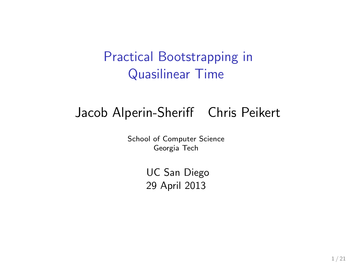### Practical Bootstrapping in Quasilinear Time

# Jacob Alperin-Sheriff Chris Peikert

School of Computer Science Georgia Tech

> UC San Diego 29 April 2013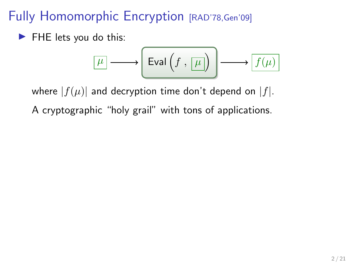### Fully Homomorphic Encryption [RAD'78, Gen'09]

 $\blacktriangleright$  FHE lets you do this:

$$
\boxed{\mu} \longrightarrow \boxed{\text{Eval}\left(f, \boxed{\mu}\right)} \longrightarrow \boxed{f(\mu)}
$$

where  $|f(\mu)|$  and decryption time don't depend on  $|f|$ .

A cryptographic "holy grail" with tons of applications.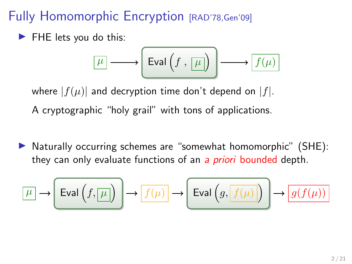### Fully Homomorphic Encryption [RAD'78, Gen'09]

 $\blacktriangleright$  FHE lets you do this:

$$
\boxed{\mu} \longrightarrow \boxed{\text{Eval}\left(f\ ,\ \boxed{\mu}\right)} \longrightarrow \boxed{f(\mu)}
$$

where  $|f(\mu)|$  and decryption time don't depend on  $|f|$ .

A cryptographic "holy grail" with tons of applications.

 $\triangleright$  Naturally occurring schemes are "somewhat homomorphic" (SHE): they can only evaluate functions of an a *priori* bounded depth.

$$
\boxed{\mu} \to \boxed{\mathrm{Eval}\left(f, \boxed{\mu}\right)} \to \boxed{f(\mu)} \to \boxed{\mathrm{Eval}\left(g, \boxed{f(\mu)}\right)} \to \boxed{g(f(\mu))}
$$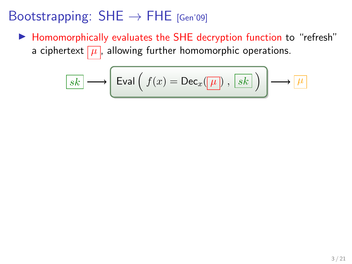▶ Homomorphically evaluates the SHE decryption function to "refresh" a ciphertext  $\boxed{\mu}$ , allowing further homomorphic operations.

$$
\boxed{sk} \longrightarrow \boxed{\text{Eval}\left(\ f(x) = \text{Dec}_x(\boxed{\mu}\right), \boxed{sk}\ \right)} \longrightarrow \boxed{\mu}
$$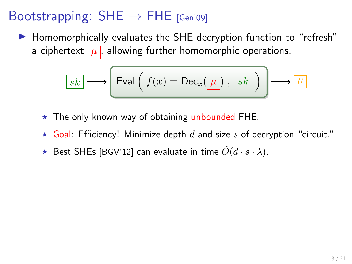▶ Homomorphically evaluates the SHE decryption function to "refresh" a ciphertext  $\mu$ , allowing further homomorphic operations.

$$
\boxed{sk} \longrightarrow \boxed{\mathsf{Eval}\left(\ f(x) = \mathsf{Dec}_x(\boxed{\mu}\right)\, ,\, \boxed{sk}\ \right)\longrightarrow \boxed{\mu}
$$

- $\star$  The only known way of obtaining unbounded FHE.
- $\star$  Goal: Efficiency! Minimize depth d and size s of decryption "circuit."
- $\star$  Best SHEs [BGV'12] can evaluate in time  $\tilde{O}(d \cdot s \cdot \lambda)$ .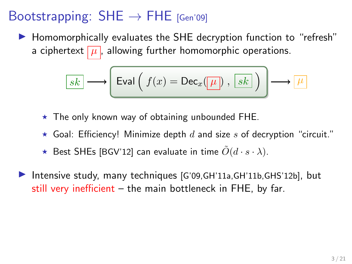$\blacktriangleright$  Homomorphically evaluates the SHE decryption function to "refresh" a ciphertext  $\mu$ , allowing further homomorphic operations.

$$
\boxed{sk} \longrightarrow \boxed{\text{Eval}\left(\ f(x) = \text{Dec}_x(\boxed{\mu}\right), \boxed{sk}\ \right)} \longrightarrow \boxed{\mu}
$$

- $\star$  The only known way of obtaining unbounded FHE.
- $\star$  Goal: Efficiency! Minimize depth d and size s of decryption "circuit."
- $\star$  Best SHEs [BGV'12] can evaluate in time  $\tilde{O}(d \cdot s \cdot \lambda)$ .
- Intensive study, many techniques  $[G'09,GH'11a,GH'11b,GHS'12b]$ , but still very inefficient – the main bottleneck in FHE, by far.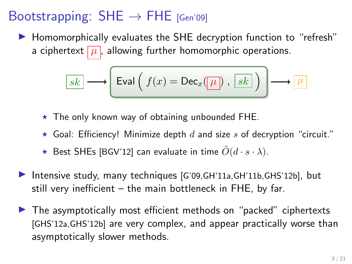$\blacktriangleright$  Homomorphically evaluates the SHE decryption function to "refresh" a ciphertext  $\boxed{\mu}$ , allowing further homomorphic operations.

$$
\boxed{sk} \longrightarrow \boxed{\text{Eval}\left(\ f(x) = \text{Dec}_x(\boxed{\mu}\right), \boxed{sk}\ \right)} \longrightarrow \boxed{\mu}
$$

- $\star$  The only known way of obtaining unbounded FHE.
- $\star$  Goal: Efficiency! Minimize depth d and size s of decryption "circuit."
- $\star$  Best SHEs [BGV'12] can evaluate in time  $\tilde{O}(d \cdot s \cdot \lambda)$ .
- Intensive study, many techniques  $[G'09,GH'11a,GH'11b,GHS'12b]$ , but still very inefficient – the main bottleneck in FHE, by far.
- $\blacktriangleright$  The asymptotically most efficient methods on "packed" ciphertexts [GHS'12a,GHS'12b] are very complex, and appear practically worse than asymptotically slower methods.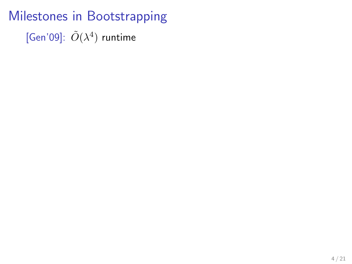Milestones in Bootstrapping [Gen'09]:  $\tilde{O}(\lambda^4)$  runtime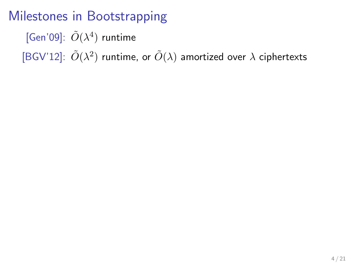[Gen'09]:  $\tilde{O}(\lambda^4)$  runtime

[BGV'12]:  $\tilde{O}(\lambda^2)$  runtime, or  $\tilde{O}(\lambda)$  amortized over  $\lambda$  ciphertexts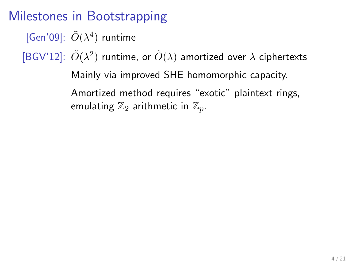[Gen'09]:  $\tilde{O}(\lambda^4)$  runtime

[BGV'12]:  $\tilde{O}(\lambda^2)$  runtime, or  $\tilde{O}(\lambda)$  amortized over  $\lambda$  ciphertexts

Mainly via improved SHE homomorphic capacity. Amortized method requires "exotic" plaintext rings, emulating  $\mathbb{Z}_2$  arithmetic in  $\mathbb{Z}_n$ .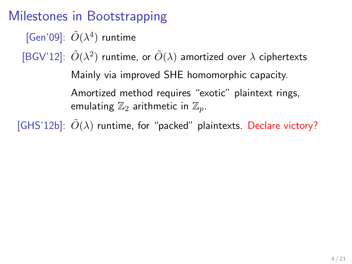[Gen'09]:  $\tilde{O}(\lambda^4)$  runtime [BGV'12]:  $\tilde{O}(\lambda^2)$  runtime, or  $\tilde{O}(\lambda)$  amortized over  $\lambda$  ciphertexts

> Mainly via improved SHE homomorphic capacity. Amortized method requires "exotic" plaintext rings, emulating  $\mathbb{Z}_2$  arithmetic in  $\mathbb{Z}_n$ .

[GHS'12b]:  $\tilde{O}(\lambda)$  runtime, for "packed" plaintexts. Declare victory?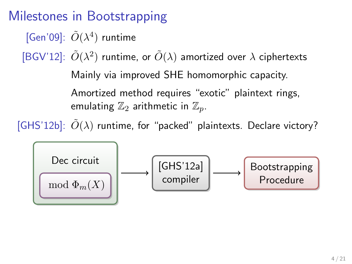[Gen'09]:  $\tilde{O}(\lambda^4)$  runtime

[BGV'12]:  $\tilde{O}(\lambda^2)$  runtime, or  $\tilde{O}(\lambda)$  amortized over  $\lambda$  ciphertexts Mainly via improved SHE homomorphic capacity. Amortized method requires "exotic" plaintext rings, emulating  $\mathbb{Z}_2$  arithmetic in  $\mathbb{Z}_n$ .

[GHS'12b]:  $\tilde{O}(\lambda)$  runtime, for "packed" plaintexts. Declare victory?

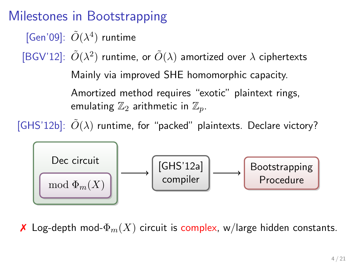[Gen'09]:  $\tilde{O}(\lambda^4)$  runtime

[BGV'12]:  $\tilde{O}(\lambda^2)$  runtime, or  $\tilde{O}(\lambda)$  amortized over  $\lambda$  ciphertexts Mainly via improved SHE homomorphic capacity. Amortized method requires "exotic" plaintext rings, emulating  $\mathbb{Z}_2$  arithmetic in  $\mathbb{Z}_n$ .

[GHS'12b]:  $O(\lambda)$  runtime, for "packed" plaintexts. Declare victory?



**X** Log-depth mod- $\Phi_m(X)$  circuit is complex, w/large hidden constants.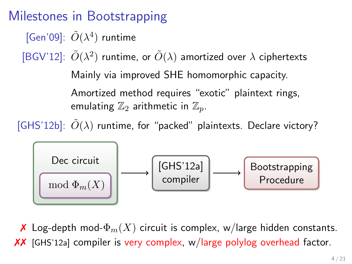[Gen'09]:  $\tilde{O}(\lambda^4)$  runtime

[BGV'12]:  $\tilde{O}(\lambda^2)$  runtime, or  $\tilde{O}(\lambda)$  amortized over  $\lambda$  ciphertexts Mainly via improved SHE homomorphic capacity. Amortized method requires "exotic" plaintext rings, emulating  $\mathbb{Z}_2$  arithmetic in  $\mathbb{Z}_n$ .

[GHS'12b]:  $\tilde{O}(\lambda)$  runtime, for "packed" plaintexts. Declare victory?



**X** Log-depth mod- $\Phi_m(X)$  circuit is complex, w/large hidden constants. ✗✗ [GHS'12a] compiler is very complex, w/large polylog overhead factor.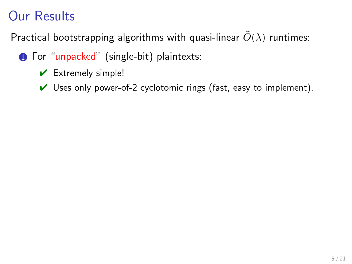- **1** For "unpacked" (single-bit) plaintexts:
	- $\vee$  Extremely simple!
	- $\vee$  Uses only power-of-2 cyclotomic rings (fast, easy to implement).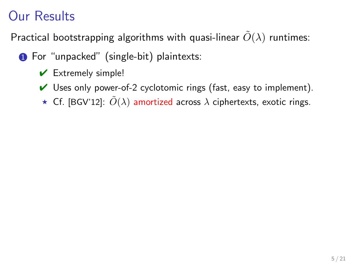- **1** For "unpacked" (single-bit) plaintexts:
	- $\vee$  Extremely simple!
	- $\vee$  Uses only power-of-2 cyclotomic rings (fast, easy to implement).
	- **★** Cf. [BGV'12]:  $\tilde{O}(\lambda)$  amortized across  $\lambda$  ciphertexts, exotic rings.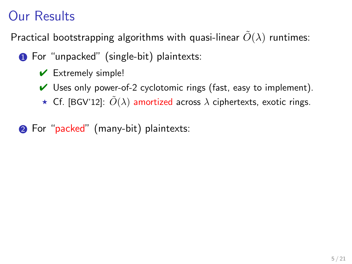- **1** For "unpacked" (single-bit) plaintexts:
	- $\vee$  Extremely simple!
	- $\vee$  Uses only power-of-2 cyclotomic rings (fast, easy to implement).
	- $\star$  Cf. [BGV'12]:  $\tilde{O}(\lambda)$  amortized across  $\lambda$  ciphertexts, exotic rings.
- 2 For "packed" (many-bit) plaintexts: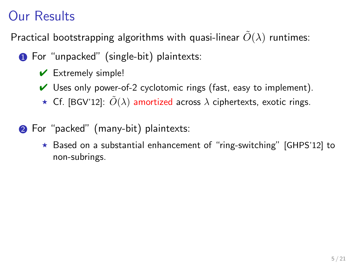- **1** For "unpacked" (single-bit) plaintexts:
	- $\vee$  Extremely simple!
	- $\vee$  Uses only power-of-2 cyclotomic rings (fast, easy to implement).
	- $\star$  Cf. [BGV'12]:  $\tilde{O}(\lambda)$  amortized across  $\lambda$  ciphertexts, exotic rings.
- **2** For "packed" (many-bit) plaintexts:
	- $\star$  Based on a substantial enhancement of "ring-switching" [GHPS'12] to non-subrings.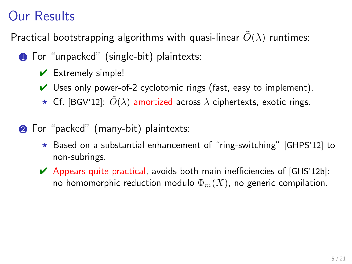- **1** For "unpacked" (single-bit) plaintexts:
	- $\vee$  Extremely simple!
	- $\vee$  Uses only power-of-2 cyclotomic rings (fast, easy to implement).
	- $\star$  Cf. [BGV'12]:  $\tilde{O}(\lambda)$  amortized across  $\lambda$  ciphertexts, exotic rings.
- **2** For "packed" (many-bit) plaintexts:
	- $\star$  Based on a substantial enhancement of "ring-switching" [GHPS'12] to non-subrings.
	- $\blacktriangleright$  Appears quite practical, avoids both main inefficiencies of [GHS'12b]: no homomorphic reduction modulo  $\Phi_m(X)$ , no generic compilation.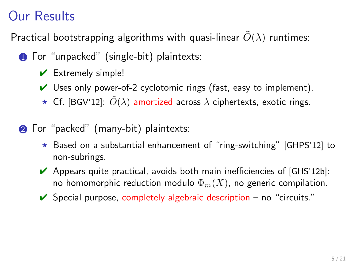- **1** For "unpacked" (single-bit) plaintexts:
	- $\vee$  Extremely simple!
	- $\vee$  Uses only power-of-2 cyclotomic rings (fast, easy to implement).
	- $\star$  Cf. [BGV'12]:  $\tilde{O}(\lambda)$  amortized across  $\lambda$  ciphertexts, exotic rings.
- **2** For "packed" (many-bit) plaintexts:
	- $\star$  Based on a substantial enhancement of "ring-switching" [GHPS'12] to non-subrings.
	- $\blacktriangleright$  Appears quite practical, avoids both main inefficiencies of [GHS'12b]: no homomorphic reduction modulo  $\Phi_m(X)$ , no generic compilation.
	- $\triangleright$  Special purpose, completely algebraic description no "circuits."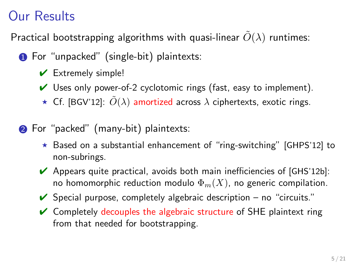- **1** For "unpacked" (single-bit) plaintexts:
	- $\vee$  Extremely simple!
	- $\vee$  Uses only power-of-2 cyclotomic rings (fast, easy to implement).
	- $\star$  Cf. [BGV'12]:  $\tilde{O}(\lambda)$  amortized across  $\lambda$  ciphertexts, exotic rings.
- **2** For "packed" (many-bit) plaintexts:
	- $\star$  Based on a substantial enhancement of "ring-switching" [GHPS'12] to non-subrings.
	- $\blacktriangleright$  Appears quite practical, avoids both main inefficiencies of [GHS'12b]: no homomorphic reduction modulo  $\Phi_m(X)$ , no generic compilation.
	- $\triangleright$  Special purpose, completely algebraic description no "circuits."
	- $\vee$  Completely decouples the algebraic structure of SHE plaintext ring from that needed for bootstrapping.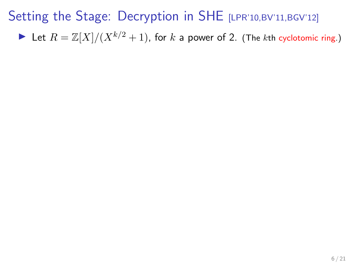In Let  $R = \mathbb{Z}[X]/(X^{k/2} + 1)$ , for k a power of 2. (The kth cyclotomic ring.)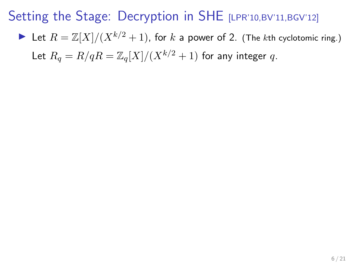In Let  $R = \mathbb{Z}[X]/(X^{k/2} + 1)$ , for k a power of 2. (The kth cyclotomic ring.) Let  $R_a = R/qR = \mathbb{Z}_a[X]/(X^{k/2} + 1)$  for any integer q.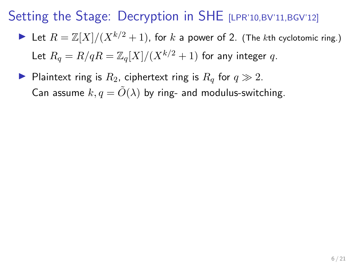- In Let  $R = \mathbb{Z}[X]/(X^{k/2} + 1)$ , for k a power of 2. (The kth cyclotomic ring.) Let  $R_a = R/qR = \mathbb{Z}_q[X]/(X^{k/2} + 1)$  for any integer q.
- Plaintext ring is  $R_2$ , ciphertext ring is  $R_q$  for  $q \gg 2$ . Can assume  $k, q = \tilde{O}(\lambda)$  by ring- and modulus-switching.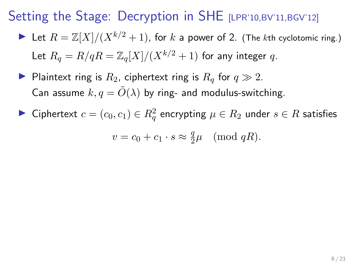- In Let  $R = \mathbb{Z}[X]/(X^{k/2} + 1)$ , for k a power of 2. (The kth cyclotomic ring.) Let  $R_a = R/qR = \mathbb{Z}_q[X]/(X^{k/2} + 1)$  for any integer q.
- Plaintext ring is  $R_2$ , ciphertext ring is  $R_q$  for  $q \gg 2$ . Can assume  $k, q = \tilde{O}(\lambda)$  by ring- and modulus-switching.
- ► Ciphertext  $c = (c_0, c_1) \in R_q^2$  encrypting  $\mu \in R_2$  under  $s \in R$  satisfies

$$
v = c_0 + c_1 \cdot s \approx \frac{q}{2}\mu \pmod{qR}.
$$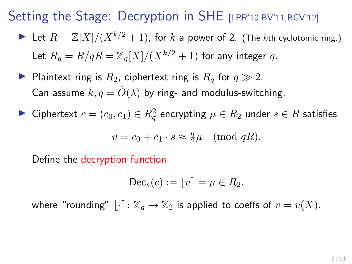- In Let  $R = \mathbb{Z}[X]/(X^{k/2} + 1)$ , for k a power of 2. (The kth cyclotomic ring.) Let  $R_q = R/qR = \mathbb{Z}_q[X]/(X^{k/2} + 1)$  for any integer q.
- Plaintext ring is  $R_2$ , ciphertext ring is  $R_q$  for  $q \gg 2$ . Can assume  $k, q = \tilde{O}(\lambda)$  by ring- and modulus-switching.
- ► Ciphertext  $c = (c_0, c_1) \in R_q^2$  encrypting  $\mu \in R_2$  under  $s \in R$  satisfies

$$
v = c_0 + c_1 \cdot s \approx \frac{q}{2}\mu \pmod{qR}.
$$

Define the decryption function

$$
\mathsf{Dec}_s(c) := \lfloor v \rceil = \mu \in R_2,
$$

where "rounding"  $|\cdot|: \mathbb{Z}_q \to \mathbb{Z}_2$  is applied to coeffs of  $v = v(X)$ .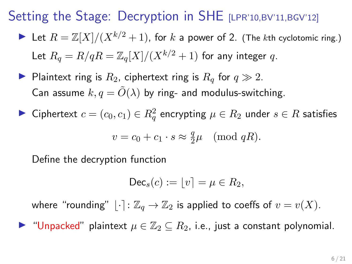- In Let  $R = \mathbb{Z}[X]/(X^{k/2} + 1)$ , for k a power of 2. (The kth cyclotomic ring.) Let  $R_a = R/qR = \mathbb{Z}_q[X]/(X^{k/2} + 1)$  for any integer q.
- Plaintext ring is  $R_2$ , ciphertext ring is  $R_q$  for  $q \gg 2$ . Can assume  $k, q = \tilde{O}(\lambda)$  by ring- and modulus-switching.
- ► Ciphertext  $c = (c_0, c_1) \in R_q^2$  encrypting  $\mu \in R_2$  under  $s \in R$  satisfies

$$
v = c_0 + c_1 \cdot s \approx \frac{q}{2}\mu \pmod{qR}.
$$

Define the decryption function

$$
\mathsf{Dec}_s(c) := \lfloor v \rfloor = \mu \in R_2,
$$

where "rounding"  $|\cdot|: \mathbb{Z}_q \to \mathbb{Z}_2$  is applied to coeffs of  $v = v(X)$ .

 $\triangleright$  "Unpacked" plaintext  $\mu \in \mathbb{Z}_2 \subseteq R_2$ , i.e., just a constant polynomial.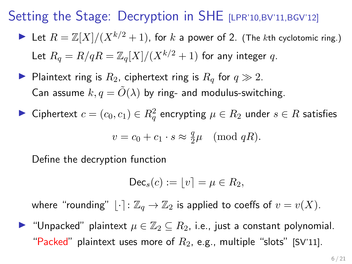- In Let  $R = \mathbb{Z}[X]/(X^{k/2} + 1)$ , for k a power of 2. (The kth cyclotomic ring.) Let  $R_a = R/qR = \mathbb{Z}_q[X]/(X^{k/2} + 1)$  for any integer q.
- Plaintext ring is  $R_2$ , ciphertext ring is  $R_q$  for  $q \gg 2$ . Can assume  $k, q = \tilde{O}(\lambda)$  by ring- and modulus-switching.
- ► Ciphertext  $c = (c_0, c_1) \in R_q^2$  encrypting  $\mu \in R_2$  under  $s \in R$  satisfies

$$
v = c_0 + c_1 \cdot s \approx \frac{q}{2}\mu \pmod{qR}.
$$

Define the decryption function

$$
\mathsf{Dec}_s(c) := \lfloor v \rfloor = \mu \in R_2,
$$

where "rounding"  $|\cdot|: \mathbb{Z}_q \to \mathbb{Z}_2$  is applied to coeffs of  $v = v(X)$ .

 $\blacktriangleright$  "Unpacked" plaintext  $\mu \in \mathbb{Z}_2 \subseteq R_2$ , i.e., just a constant polynomial. "Packed" plaintext uses more of  $R_2$ , e.g., multiple "slots" [SV'11].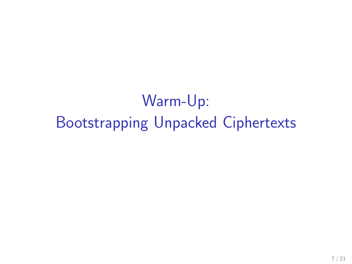Warm-Up: Bootstrapping Unpacked Ciphertexts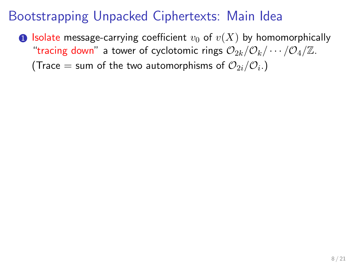### Bootstrapping Unpacked Ciphertexts: Main Idea

**1** Isolate message-carrying coefficient  $v_0$  of  $v(X)$  by homomorphically "tracing down" a tower of cyclotomic rings  $\mathcal{O}_{2k}/\mathcal{O}_k/\cdots/\mathcal{O}_4/\mathbb{Z}$ .

(Trace  $=$  sum of the two automorphisms of  $\mathcal{O}_{2i}/\mathcal{O}_i$ .)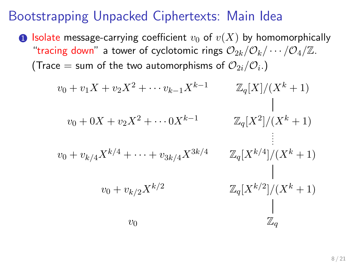#### Bootstrapping Unpacked Ciphertexts: Main Idea

**1** Isolate message-carrying coefficient  $v_0$  of  $v(X)$  by homomorphically "tracing down" a tower of cyclotomic rings  $\mathcal{O}_{2k}/\mathcal{O}_k/\cdots/\mathcal{O}_4/\mathbb{Z}$ . (Trace  $=$  sum of the two automorphisms of  $\mathcal{O}_{2i}/\mathcal{O}_i$ .)

$$
v_0 + v_1 X + v_2 X^2 + \cdots v_{k-1} X^{k-1}
$$
  
\n
$$
v_0 + 0X + v_2 X^2 + \cdots 0 X^{k-1}
$$
  
\n
$$
v_0 + v_{k/4} X^{k/4} + \cdots + v_{3k/4} X^{3k/4}
$$
  
\n
$$
v_0 + v_{k/2} X^{k/2}
$$
  
\n
$$
v_0 + v_{k/2} X^{k/2}
$$
  
\n
$$
v_0
$$
  
\n
$$
v_0
$$
  
\n
$$
v_0
$$
  
\n
$$
v_0
$$
  
\n
$$
v_0
$$
  
\n
$$
v_0
$$
  
\n
$$
v_0
$$
  
\n
$$
v_0
$$
  
\n
$$
v_0
$$
  
\n
$$
v_0
$$
  
\n
$$
v_0
$$
  
\n
$$
v_0
$$
  
\n
$$
v_0
$$
  
\n
$$
v_0
$$
  
\n
$$
v_0
$$
  
\n
$$
v_0
$$
  
\n
$$
v_0
$$
  
\n
$$
v_0
$$
  
\n
$$
v_0
$$
  
\n
$$
v_0
$$
  
\n
$$
v_0
$$
  
\n
$$
v_0
$$
  
\n
$$
v_0
$$
  
\n
$$
v_0
$$
  
\n
$$
v_0
$$
  
\n
$$
v_0
$$
  
\n
$$
v_0
$$
  
\n
$$
v_0
$$
  
\n
$$
v_0
$$
  
\n
$$
v_0
$$
  
\n
$$
v_0
$$
  
\n
$$
v_0
$$
  
\n
$$
v_0
$$
  
\n
$$
v_0
$$
  
\n
$$
v_0
$$
  
\n
$$
v_0
$$
  
\n
$$
v_0
$$
  
\n
$$
v_0
$$
  
\n
$$
v_0
$$
  
\n<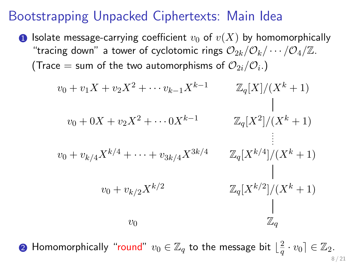#### Bootstrapping Unpacked Ciphertexts: Main Idea

**1** Isolate message-carrying coefficient  $v_0$  of  $v(X)$  by homomorphically "tracing down" a tower of cyclotomic rings  $\mathcal{O}_{2k}/\mathcal{O}_k/\cdots/\mathcal{O}_4/\mathbb{Z}$ . (Trace  $=$  sum of the two automorphisms of  $\mathcal{O}_{2i}/\mathcal{O}_i$ .)

$$
v_0 + v_1 X + v_2 X^2 + \cdots v_{k-1} X^{k-1}
$$
  
\n
$$
v_0 + 0X + v_2 X^2 + \cdots 0 X^{k-1}
$$
  
\n
$$
v_0 + v_{k/4} X^{k/4} + \cdots + v_{3k/4} X^{3k/4}
$$
  
\n
$$
v_0 + v_{k/2} X^{k/2}
$$
  
\n
$$
v_0 + v_{k/2} X^{k/2}
$$
  
\n
$$
v_0
$$
  
\n
$$
v_0
$$
  
\n
$$
v_0
$$
  
\n
$$
v_0
$$
  
\n
$$
v_0
$$
  
\n
$$
v_0
$$
  
\n
$$
v_0
$$
  
\n
$$
v_0
$$
  
\n
$$
v_0
$$
  
\n
$$
v_0
$$
  
\n
$$
v_0
$$
  
\n
$$
v_0
$$
  
\n
$$
v_0
$$
  
\n
$$
v_0
$$
  
\n
$$
v_0
$$
  
\n
$$
v_0
$$
  
\n
$$
v_0
$$
  
\n
$$
v_0
$$
  
\n
$$
v_0
$$
  
\n
$$
v_0
$$
  
\n
$$
v_0
$$
  
\n
$$
v_0
$$
  
\n
$$
v_0
$$
  
\n
$$
v_0
$$
  
\n
$$
v_0
$$
  
\n
$$
v_0
$$
  
\n
$$
v_0
$$
  
\n
$$
v_0
$$
  
\n
$$
v_0
$$
  
\n
$$
v_0
$$
  
\n
$$
v_0
$$
  
\n
$$
v_0
$$
  
\n
$$
v_0
$$
  
\n
$$
v_0
$$
  
\n
$$
v_0
$$
  
\n
$$
v_0
$$
  
\n
$$
v_0
$$
  
\n
$$
v_0
$$
  
\n
$$
v_0
$$
  
\n<

 $\bullet$  Homomorphically "round"  $v_0 \in \mathbb{Z}_q$  to the message bit  $\lfloor \frac{2}{q} \rfloor$  $\frac{2}{q} \cdot v_0 \rceil \in \mathbb{Z}_2.$ 8 / 21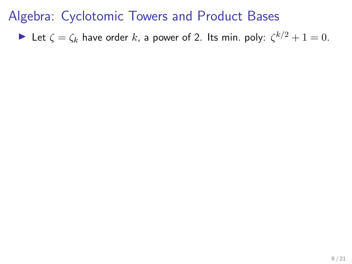Algebra: Cyclotomic Towers and Product Bases

Let  $\zeta = \zeta_k$  have order k, a power of 2. Its min. poly:  $\zeta^{k/2} + 1 = 0$ .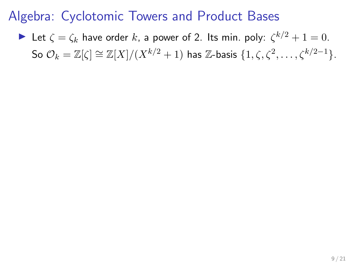### Algebra: Cyclotomic Towers and Product Bases

Let  $\zeta = \zeta_k$  have order k, a power of 2. Its min. poly:  $\zeta^{k/2} + 1 = 0$ . So  $\mathcal{O}_k = \mathbb{Z}[\zeta] \cong \mathbb{Z}[X]/(X^{k/2} + 1)$  has  $\mathbb{Z}$ -basis  $\{1, \zeta, \zeta^2, \ldots, \zeta^{k/2-1}\}.$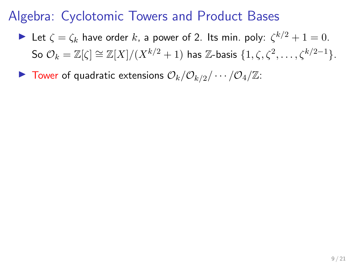### Algebra: Cyclotomic Towers and Product Bases

- Let  $\zeta = \zeta_k$  have order k, a power of 2. Its min. poly:  $\zeta^{k/2} + 1 = 0$ . So  $\mathcal{O}_k = \mathbb{Z}[\zeta] \cong \mathbb{Z}[X]/(X^{k/2} + 1)$  has  $\mathbb{Z}$ -basis  $\{1, \zeta, \zeta^2, \ldots, \zeta^{k/2-1}\}.$
- $\blacktriangleright$  Tower of quadratic extensions  $\mathcal{O}_k/\mathcal{O}_{k/2}/\cdots/\mathcal{O}_4/\mathbb{Z}$ :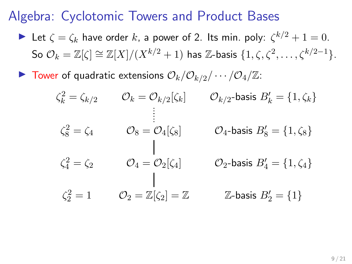#### Algebra: Cyclotomic Towers and Product Bases

- Let  $\zeta = \zeta_k$  have order k, a power of 2. Its min. poly:  $\zeta^{k/2} + 1 = 0$ . So  $\mathcal{O}_k = \mathbb{Z}[\zeta] \cong \mathbb{Z}[X]/(X^{k/2} + 1)$  has  $\mathbb{Z}$ -basis  $\{1, \zeta, \zeta^2, \ldots, \zeta^{k/2-1}\}.$
- $\blacktriangleright$  Tower of quadratic extensions  $\mathcal{O}_k/\mathcal{O}_{k/2}/\cdots/\mathcal{O}_4/\mathbb{Z}$ :

$$
\zeta_k^2 = \zeta_{k/2} \qquad \mathcal{O}_k = \mathcal{O}_{k/2}[\zeta_k] \qquad \mathcal{O}_{k/2}\text{-basis } B'_k = \{1, \zeta_k\}
$$
\n
$$
\vdots
$$
\n
$$
\zeta_8^2 = \zeta_4 \qquad \mathcal{O}_8 = \mathcal{O}_4[\zeta_8] \qquad \mathcal{O}_4\text{-basis } B'_8 = \{1, \zeta_8\}
$$
\n
$$
\zeta_4^2 = \zeta_2 \qquad \mathcal{O}_4 = \mathcal{O}_2[\zeta_4] \qquad \mathcal{O}_2\text{-basis } B'_4 = \{1, \zeta_4\}
$$
\n
$$
\zeta_2^2 = 1 \qquad \mathcal{O}_2 = \mathbb{Z}[\zeta_2] = \mathbb{Z} \qquad \mathbb{Z}\text{-basis } B'_2 = \{1\}
$$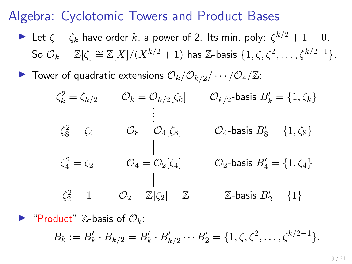#### Algebra: Cyclotomic Towers and Product Bases

- Let  $\zeta = \zeta_k$  have order k, a power of 2. Its min. poly:  $\zeta^{k/2} + 1 = 0$ . So  $\mathcal{O}_k = \mathbb{Z}[\zeta] \cong \mathbb{Z}[X]/(X^{k/2} + 1)$  has  $\mathbb{Z}$ -basis  $\{1, \zeta, \zeta^2, \ldots, \zeta^{k/2-1}\}.$
- $\blacktriangleright$  Tower of quadratic extensions  $\mathcal{O}_k/\mathcal{O}_{k/2}/\cdots/\mathcal{O}_4/\mathbb{Z}$ :

$$
\zeta_k^2 = \zeta_{k/2} \qquad \mathcal{O}_k = \mathcal{O}_{k/2}[\zeta_k] \qquad \mathcal{O}_{k/2}\text{-basis } B'_k = \{1, \zeta_k\}
$$
\n
$$
\vdots
$$
\n
$$
\zeta_8^2 = \zeta_4 \qquad \mathcal{O}_8 = \mathcal{O}_4[\zeta_8] \qquad \mathcal{O}_4\text{-basis } B'_8 = \{1, \zeta_8\}
$$
\n
$$
\zeta_4^2 = \zeta_2 \qquad \mathcal{O}_4 = \mathcal{O}_2[\zeta_4] \qquad \mathcal{O}_2\text{-basis } B'_4 = \{1, \zeta_4\}
$$
\n
$$
\zeta_2^2 = 1 \qquad \mathcal{O}_2 = \mathbb{Z}[\zeta_2] = \mathbb{Z} \qquad \mathbb{Z}\text{-basis } B'_2 = \{1\}
$$

 $\blacktriangleright$  "Product" Z-basis of  $\mathcal{O}_k$ :

 $B_k := B'_k \cdot B_{k/2} = B'_k \cdot B'_{k/2} \cdots B'_2 = \{1, \zeta, \zeta^2, \ldots, \zeta^{k/2-1}\}.$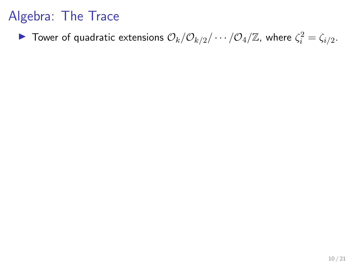Tower of quadratic extensions  $\mathcal{O}_k/\mathcal{O}_{k/2}/\cdots/\mathcal{O}_4/\mathbb{Z}$ , where  $\zeta_i^2=\zeta_{i/2}$ .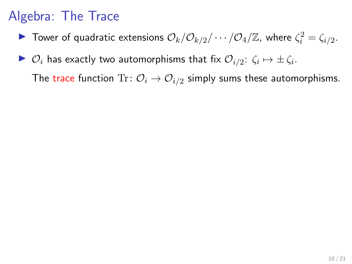- Tower of quadratic extensions  $\mathcal{O}_k/\mathcal{O}_{k/2}/\cdots/\mathcal{O}_4/\mathbb{Z}$ , where  $\zeta_i^2=\zeta_{i/2}$ .
- $\blacktriangleright$   $\mathcal{O}_i$  has exactly two automorphisms that fix  $\mathcal{O}_{i/2}$ :  $\zeta_i \mapsto \pm \zeta_i$ .

The trace function  $\text{Tr}\colon \mathcal{O}_i\rightarrow \mathcal{O}_{i/2}$  simply sums these automorphisms.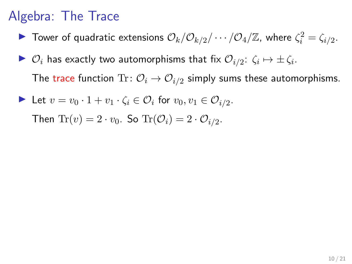- Tower of quadratic extensions  $\mathcal{O}_k/\mathcal{O}_{k/2}/\cdots/\mathcal{O}_4/\mathbb{Z}$ , where  $\zeta_i^2=\zeta_{i/2}$ .
- $\blacktriangleright$   $\mathcal{O}_i$  has exactly two automorphisms that fix  $\mathcal{O}_{i/2}$ :  $\zeta_i \mapsto \pm \zeta_i$ .

The trace function  $\text{Tr}\colon \mathcal{O}_i\rightarrow \mathcal{O}_{i/2}$  simply sums these automorphisms.

Let  $v = v_0 \cdot 1 + v_1 \cdot \zeta_i \in \mathcal{O}_i$  for  $v_0, v_1 \in \mathcal{O}_{i/2}$ .

Then  $\text{Tr}(v) = 2 \cdot v_0$ . So  $\text{Tr}(\mathcal{O}_i) = 2 \cdot \mathcal{O}_{i/2}$ .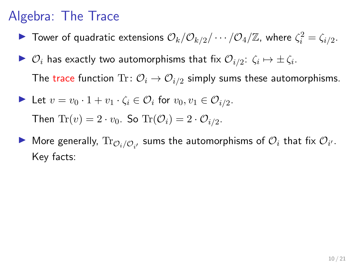- Tower of quadratic extensions  $\mathcal{O}_k/\mathcal{O}_{k/2}/\cdots/\mathcal{O}_4/\mathbb{Z}$ , where  $\zeta_i^2=\zeta_{i/2}$ .
- $\blacktriangleright$   $\mathcal{O}_i$  has exactly two automorphisms that fix  $\mathcal{O}_{i/2}$ :  $\zeta_i \mapsto \pm \zeta_i$ . The trace function  $\text{Tr}\colon \mathcal{O}_i\rightarrow \mathcal{O}_{i/2}$  simply sums these automorphisms.

\n- Let 
$$
v = v_0 \cdot 1 + v_1 \cdot \zeta_i \in \mathcal{O}_i
$$
 for  $v_0, v_1 \in \mathcal{O}_{i/2}$ . Then  $\text{Tr}(v) = 2 \cdot v_0$ . So  $\text{Tr}(\mathcal{O}_i) = 2 \cdot \mathcal{O}_{i/2}$ .
\n

 $\blacktriangleright$  More generally,  $\text{Tr}_{\mathcal{O}_i/\mathcal{O}_{i'}}$  sums the automorphisms of  $\mathcal{O}_i$  that fix  $\mathcal{O}_{i'}.$ Key facts: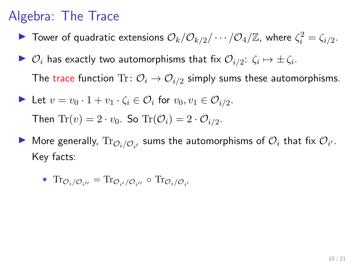- Tower of quadratic extensions  $\mathcal{O}_k/\mathcal{O}_{k/2}/\cdots/\mathcal{O}_4/\mathbb{Z}$ , where  $\zeta_i^2=\zeta_{i/2}$ .
- $\blacktriangleright$   $\mathcal{O}_i$  has exactly two automorphisms that fix  $\mathcal{O}_{i/2}$ :  $\zeta_i \mapsto \pm \zeta_i$ . The trace function  $\text{Tr}\colon \mathcal{O}_i\rightarrow \mathcal{O}_{i/2}$  simply sums these automorphisms.

\n- Let 
$$
v = v_0 \cdot 1 + v_1 \cdot \zeta_i \in \mathcal{O}_i
$$
 for  $v_0, v_1 \in \mathcal{O}_{i/2}$ . Then  $\text{Tr}(v) = 2 \cdot v_0$ . So  $\text{Tr}(\mathcal{O}_i) = 2 \cdot \mathcal{O}_{i/2}$ .
\n

 $\blacktriangleright$  More generally,  $\text{Tr}_{\mathcal{O}_i/\mathcal{O}_{i'}}$  sums the automorphisms of  $\mathcal{O}_i$  that fix  $\mathcal{O}_{i'}.$ Key facts:

$$
\star \ \operatorname{Tr}_{\mathcal{O}_i/\mathcal{O}_{i''}} = \operatorname{Tr}_{\mathcal{O}_{i'}/\mathcal{O}_{i''}} \circ \operatorname{Tr}_{\mathcal{O}_i/\mathcal{O}_{i'}}
$$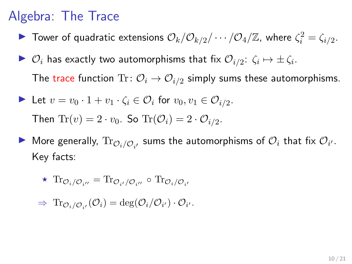- Tower of quadratic extensions  $\mathcal{O}_k/\mathcal{O}_{k/2}/\cdots/\mathcal{O}_4/\mathbb{Z}$ , where  $\zeta_i^2=\zeta_{i/2}$ .
- $\blacktriangleright$   $\mathcal{O}_i$  has exactly two automorphisms that fix  $\mathcal{O}_{i/2}$ :  $\zeta_i \mapsto \pm \zeta_i$ . The trace function  $\text{Tr}\colon \mathcal{O}_i\rightarrow \mathcal{O}_{i/2}$  simply sums these automorphisms.

\n- Let 
$$
v = v_0 \cdot 1 + v_1 \cdot \zeta_i \in \mathcal{O}_i
$$
 for  $v_0, v_1 \in \mathcal{O}_{i/2}$ . Then  $\text{Tr}(v) = 2 \cdot v_0$ . So  $\text{Tr}(\mathcal{O}_i) = 2 \cdot \mathcal{O}_{i/2}$ .
\n

 $\blacktriangleright$  More generally,  $\text{Tr}_{\mathcal{O}_i/\mathcal{O}_{i'}}$  sums the automorphisms of  $\mathcal{O}_i$  that fix  $\mathcal{O}_{i'}.$ Key facts:

$$
\star \ \operatorname{Tr}_{\mathcal{O}_i/\mathcal{O}_{i''}} = \operatorname{Tr}_{\mathcal{O}_{i'}/\mathcal{O}_{i''}} \circ \operatorname{Tr}_{\mathcal{O}_i/\mathcal{O}_{i'}}
$$

 $\Rightarrow \text{Tr}_{\mathcal{O}_{i}/\mathcal{O}_{i'}}(\mathcal{O}_{i}) = \text{deg}(\mathcal{O}_{i}/\mathcal{O}_{i'}) \cdot \mathcal{O}_{i'}.$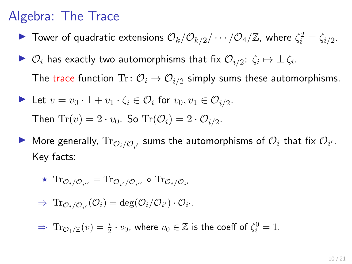- Tower of quadratic extensions  $\mathcal{O}_k/\mathcal{O}_{k/2}/\cdots/\mathcal{O}_4/\mathbb{Z}$ , where  $\zeta_i^2=\zeta_{i/2}$ .
- $\blacktriangleright$   $\mathcal{O}_i$  has exactly two automorphisms that fix  $\mathcal{O}_{i/2}$ :  $\zeta_i \mapsto \pm \zeta_i$ . The trace function  $\text{Tr}\colon \mathcal{O}_i\rightarrow \mathcal{O}_{i/2}$  simply sums these automorphisms.

\n- Let 
$$
v = v_0 \cdot 1 + v_1 \cdot \zeta_i \in \mathcal{O}_i
$$
 for  $v_0, v_1 \in \mathcal{O}_{i/2}$ . Then  $\text{Tr}(v) = 2 \cdot v_0$ . So  $\text{Tr}(\mathcal{O}_i) = 2 \cdot \mathcal{O}_{i/2}$ .
\n

 $\blacktriangleright$  More generally,  $\text{Tr}_{\mathcal{O}_i/\mathcal{O}_{i'}}$  sums the automorphisms of  $\mathcal{O}_i$  that fix  $\mathcal{O}_{i'}.$ Key facts:

$$
\star \ \operatorname{Tr}_{\mathcal{O}_i/\mathcal{O}_{i''}} = \operatorname{Tr}_{\mathcal{O}_{i'}/\mathcal{O}_{i''}} \circ \operatorname{Tr}_{\mathcal{O}_i/\mathcal{O}_{i'}}
$$

$$
\Rightarrow \operatorname{Tr}_{\mathcal{O}_i/\mathcal{O}_{i'}}(\mathcal{O}_i)=\deg(\mathcal{O}_i/\mathcal{O}_{i'})\cdot \mathcal{O}_{i'}.
$$

 $\Rightarrow \text{ Tr}_{\mathcal{O}_i/\mathbb{Z}}(v) = \frac{i}{2} \cdot v_0$ , where  $v_0 \in \mathbb{Z}$  is the coeff of  $\zeta_i^0 = 1$ .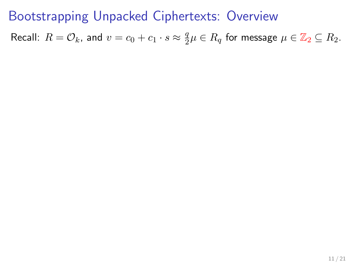Recall:  $R = \mathcal{O}_k$ , and  $v = c_0 + c_1 \cdot s \approx \frac{q}{2}$  $\frac{q}{2}\mu \in R_q$  for message  $\mu \in \mathbb{Z}_2 \subseteq R_2$ .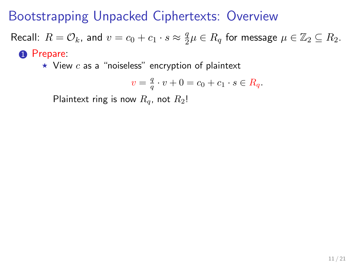Recall:  $R = \mathcal{O}_k$ , and  $v = c_0 + c_1 \cdot s \approx \frac{q}{2}$  $\frac{q}{2}\mu \in R_q$  for message  $\mu \in \mathbb{Z}_2 \subseteq R_2$ . **1** Prepare:

 $\star$  View c as a "noiseless" encryption of plaintext

$$
v = \frac{q}{q} \cdot v + 0 = c_0 + c_1 \cdot s \in R_q.
$$

Plaintext ring is now  $R_q$ , not  $R_2!$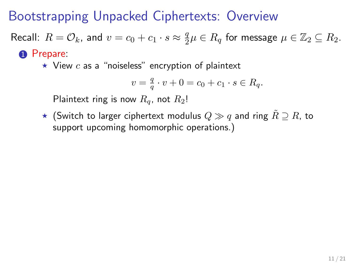Recall:  $R = \mathcal{O}_k$ , and  $v = c_0 + c_1 \cdot s \approx \frac{q}{2}$  $\frac{q}{2}\mu \in R_q$  for message  $\mu \in \mathbb{Z}_2 \subseteq R_2$ . <sup>0</sup> Prepare:

 $\star$  View c as a "noiseless" encryption of plaintext

$$
v=\tfrac{q}{q}\cdot v+0=c_0+c_1\cdot s\in R_q.
$$

Plaintext ring is now  $R_q$ , not  $R_2!$ 

★ (Switch to larger ciphertext modulus  $Q \gg q$  and ring  $\tilde{R} \supset R$ , to support upcoming homomorphic operations.)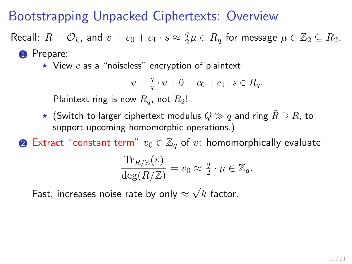Recall:  $R = \mathcal{O}_k$ , and  $v = c_0 + c_1 \cdot s \approx \frac{q}{2}$  $\frac{q}{2}\mu \in R_q$  for message  $\mu \in \mathbb{Z}_2 \subseteq R_2$ .

#### **1** Prepare:

 $\star$  View c as a "noiseless" encryption of plaintext

$$
v=\tfrac{q}{q}\cdot v+0=c_0+c_1\cdot s\in R_q.
$$

Plaintext ring is now  $R_q$ , not  $R_2!$ 

 $\star$  (Switch to larger ciphertext modulus  $Q \gg q$  and ring  $R \supset R$ , to support upcoming homomorphic operations.)

**②** Extract "constant term"  $v_0 \in \mathbb{Z}_q$  of  $v$ : homomorphically evaluate

$$
\frac{\text{Tr}_{R/\mathbb{Z}}(v)}{\deg(R/\mathbb{Z})} = v_0 \approx \frac{q}{2} \cdot \mu \in \mathbb{Z}_q.
$$

Fast, increases noise rate by only  $\approx$  $k$  factor.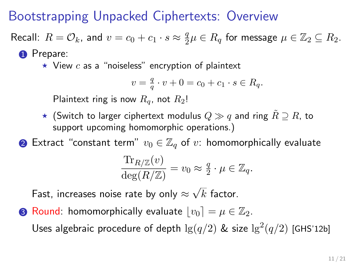Recall:  $R = \mathcal{O}_k$ , and  $v = c_0 + c_1 \cdot s \approx \frac{q}{2}$  $\frac{q}{2}\mu \in R_q$  for message  $\mu \in \mathbb{Z}_2 \subseteq R_2$ .

#### **1** Prepare:

 $\star$  View c as a "noiseless" encryption of plaintext

$$
v=\tfrac{q}{q}\cdot v+0=c_0+c_1\cdot s\in R_q.
$$

Plaintext ring is now  $R_q$ , not  $R_2!$ 

 $\star$  (Switch to larger ciphertext modulus  $Q \gg q$  and ring  $R \supset R$ , to support upcoming homomorphic operations.)

**②** Extract "constant term"  $v_0 \in \mathbb{Z}_q$  of  $v$ : homomorphically evaluate

$$
\frac{\text{Tr}_{R/\mathbb{Z}}(v)}{\deg(R/\mathbb{Z})} = v_0 \approx \frac{q}{2} \cdot \mu \in \mathbb{Z}_q.
$$

Fast, increases noise rate by only  $\approx$  $k$  factor.

**3** Round: homomorphically evaluate  $|v_0| = \mu \in \mathbb{Z}_2$ . Uses algebraic procedure of depth  $\lg(q/2)$  & size  $\lg^2(q/2)$  [GHS'12b]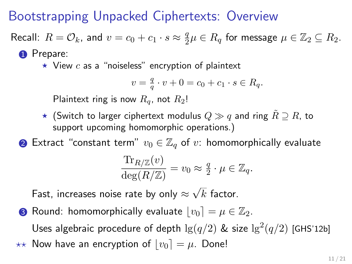Recall:  $R = \mathcal{O}_k$ , and  $v = c_0 + c_1 \cdot s \approx \frac{q}{2}$  $\frac{q}{2}\mu \in R_q$  for message  $\mu \in \mathbb{Z}_2 \subseteq R_2$ .

#### **1** Prepare:

 $\star$  View c as a "noiseless" encryption of plaintext

$$
v=\tfrac{q}{q}\cdot v+0=c_0+c_1\cdot s\in R_q.
$$

Plaintext ring is now  $R_q$ , not  $R_2!$ 

 $\star$  (Switch to larger ciphertext modulus  $Q \gg q$  and ring  $R \supset R$ , to support upcoming homomorphic operations.)

**②** Extract "constant term"  $v_0 \in \mathbb{Z}_q$  of  $v$ : homomorphically evaluate

$$
\frac{\text{Tr}_{R/\mathbb{Z}}(v)}{\deg(R/\mathbb{Z})} = v_0 \approx \frac{q}{2} \cdot \mu \in \mathbb{Z}_q.
$$

Fast, increases noise rate by only  $\approx$  $k$  factor.

**3** Round: homomorphically evaluate  $|v_0| = \mu \in \mathbb{Z}_2$ . Uses algebraic procedure of depth  $\lg(q/2)$  & size  $\lg^2(q/2)$  [GHS'12b]  $\star\star$  Now have an encryption of  $|v_0| = \mu$ . Done!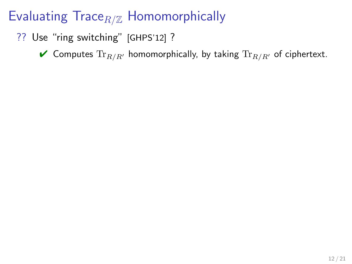- ?? Use "ring switching" [GHPS'12] ?
	- $\blacktriangledown$  Computes  $\text{Tr}_{R/R'}$  homomorphically, by taking  $\text{Tr}_{R/R'}$  of ciphertext.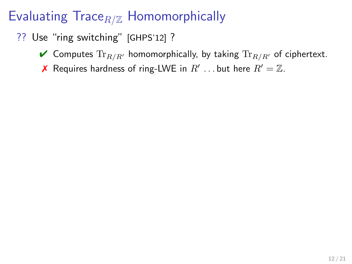- ?? Use "ring switching" [GHPS'12] ?
	- $\blacktriangledown$  Computes  $\text{Tr}_{R/R'}$  homomorphically, by taking  $\text{Tr}_{R/R'}$  of ciphertext.
		- **X** Requires hardness of ring-LWE in  $R'$  ... but here  $R' = \mathbb{Z}$ .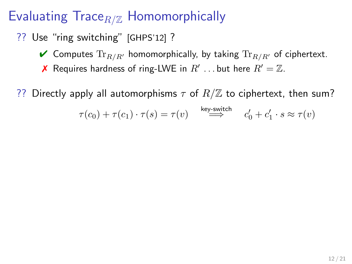- ?? Use "ring switching" [GHPS'12] ?
	- $\blacktriangleright$  Computes  $\text{Tr}_{R/R'}$  homomorphically, by taking  $\text{Tr}_{R/R'}$  of ciphertext.
		- **X** Requires hardness of ring-LWE in  $R'$  ... but here  $R' = \mathbb{Z}$ .

?? Directly apply all automorphisms  $\tau$  of  $R/\mathbb{Z}$  to ciphertext, then sum?

$$
\tau(c_0)+\tau(c_1)\cdot \tau(s)=\tau(v)\quad \stackrel{\text{key-switch}}{\Longrightarrow}\quad c_0'+c_1'\cdot s\approx \tau(v)
$$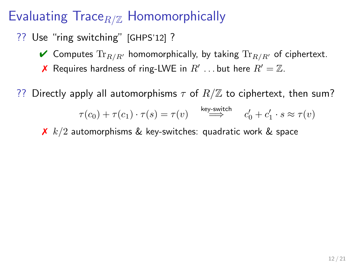- ?? Use "ring switching" [GHPS'12] ?
	- $\blacktriangleright$  Computes  $\text{Tr}_{R/R'}$  homomorphically, by taking  $\text{Tr}_{R/R'}$  of ciphertext.
		- **X** Requires hardness of ring-LWE in  $R'$  ... but here  $R' = \mathbb{Z}$ .

?? Directly apply all automorphisms  $\tau$  of  $R/\mathbb{Z}$  to ciphertext, then sum?

$$
\tau(c_0)+\tau(c_1)\cdot \tau(s)=\tau(v)\quad \stackrel{\text{key-switch}}{\Longrightarrow}\quad c_0'+c_1'\cdot s\approx \tau(v)
$$

 $\chi$  k/2 automorphisms & key-switches: quadratic work & space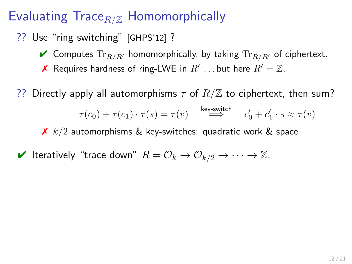- ?? Use "ring switching" [GHPS'12] ?
	- $\blacktriangleright$  Computes  $\text{Tr}_{R/R'}$  homomorphically, by taking  $\text{Tr}_{R/R'}$  of ciphertext.
		- **X** Requires hardness of ring-LWE in  $R'$  ... but here  $R' = \mathbb{Z}$ .

?? Directly apply all automorphisms  $\tau$  of  $R/\mathbb{Z}$  to ciphertext, then sum?

$$
\tau(c_0)+\tau(c_1)\cdot \tau(s)=\tau(v)\quad \stackrel{\text{key-switch}}{\Longrightarrow}\quad c_0'+c_1'\cdot s\approx \tau(v)
$$

 $\chi$  k/2 automorphisms & key-switches: quadratic work & space

 $\blacktriangleright$  Iteratively "trace down"  $R = \mathcal{O}_k \to \mathcal{O}_{k/2} \to \cdots \to \mathbb{Z}$ .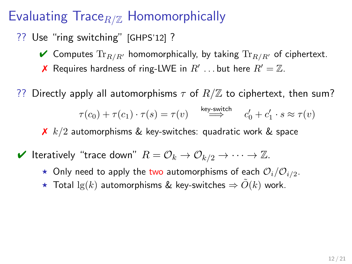- ?? Use "ring switching" [GHPS'12] ?
	- $\blacktriangleright$  Computes  $\text{Tr}_{R/R'}$  homomorphically, by taking  $\text{Tr}_{R/R'}$  of ciphertext.
		- **X** Requires hardness of ring-LWE in  $R'$  ... but here  $R' = \mathbb{Z}$ .
- ?? Directly apply all automorphisms  $\tau$  of  $R/\mathbb{Z}$  to ciphertext, then sum?

$$
\tau(c_0)+\tau(c_1)\cdot \tau(s)=\tau(v)\quad \stackrel{\text{key-switch}}{\Longrightarrow}\quad c_0'+c_1'\cdot s\approx \tau(v)
$$

- $\boldsymbol{\times}$  k/2 automorphisms & key-switches: quadratic work & space
- $\blacktriangleright$  Iteratively "trace down"  $R = \mathcal{O}_k \to \mathcal{O}_{k/2} \to \cdots \to \mathbb{Z}$ .
	- $\star$  Only need to apply the two automorphisms of each  $\mathcal{O}_i/\mathcal{O}_{i/2}$ .
	- ★ Total  $\lg(k)$  automorphisms & key-switches  $\Rightarrow \tilde{O}(k)$  work.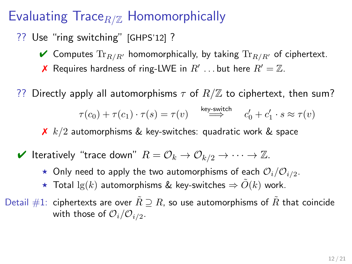- ?? Use "ring switching" [GHPS'12] ?
	- $\blacktriangleright$  Computes  $\text{Tr}_{R/R'}$  homomorphically, by taking  $\text{Tr}_{R/R'}$  of ciphertext.
		- **X** Requires hardness of ring-LWE in  $R'$  ... but here  $R' = \mathbb{Z}$ .
- ?? Directly apply all automorphisms  $\tau$  of  $R/\mathbb{Z}$  to ciphertext, then sum?

$$
\tau(c_0)+\tau(c_1)\cdot \tau(s)=\tau(v)\quad \stackrel{\text{key-switch}}{\Longrightarrow}\quad c_0'+c_1'\cdot s\approx \tau(v)
$$

- $\chi$  k/2 automorphisms & key-switches: quadratic work & space
- $\blacktriangleright$  Iteratively "trace down"  $R = \mathcal{O}_k \to \mathcal{O}_{k/2} \to \cdots \to \mathbb{Z}$ .
	- $\star$  Only need to apply the two automorphisms of each  $\mathcal{O}_i/\mathcal{O}_{i/2}$ .
	- ★ Total  $\lg(k)$  automorphisms & key-switches  $\Rightarrow O(k)$  work.
- Detail #1: ciphertexts are over  $\tilde{R} \supseteq R$ , so use automorphisms of  $\tilde{R}$  that coincide with those of  $\mathcal{O}_i/\mathcal{O}_{i/2}$ .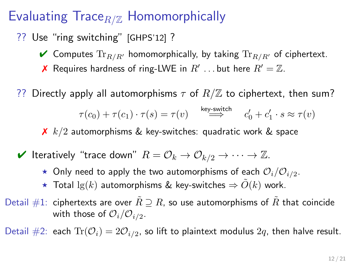- ?? Use "ring switching" [GHPS'12] ?
	- $\blacktriangleright$  Computes  $\text{Tr}_{R/R'}$  homomorphically, by taking  $\text{Tr}_{R/R'}$  of ciphertext.
		- **X** Requires hardness of ring-LWE in  $R'$  ... but here  $R' = \mathbb{Z}$ .
- ?? Directly apply all automorphisms  $\tau$  of  $R/\mathbb{Z}$  to ciphertext, then sum?

$$
\tau(c_0)+\tau(c_1)\cdot \tau(s)=\tau(v)\quad \stackrel{\text{key-switch}}{\Longrightarrow}\quad c_0'+c_1'\cdot s\approx \tau(v)
$$

- $\chi$  k/2 automorphisms & key-switches: quadratic work & space
- $\blacktriangleright$  Iteratively "trace down"  $R = \mathcal{O}_k \to \mathcal{O}_{k/2} \to \cdots \to \mathbb{Z}$ .
	- $\star$  Only need to apply the two automorphisms of each  $\mathcal{O}_i/\mathcal{O}_{i/2}$ .
	- ★ Total  $\lg(k)$  automorphisms & key-switches  $\Rightarrow \tilde{O}(k)$  work.
- Detail #1: ciphertexts are over  $\tilde{R} \supset R$ , so use automorphisms of  $\tilde{R}$  that coincide with those of  $\mathcal{O}_i/\mathcal{O}_{i/2}$ .

Detail  $\#2$ : each  $Tr(\mathcal{O}_i) = 2\mathcal{O}_{i/2}$ , so lift to plaintext modulus  $2q$ , then halve result.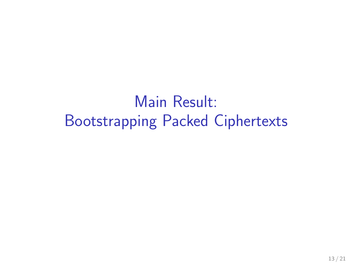Main Result: Bootstrapping Packed Ciphertexts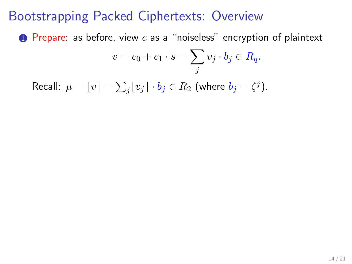**1** Prepare: as before, view  $c$  as a "noiseless" encryption of plaintext

$$
v = c_0 + c_1 \cdot s = \sum_j v_j \cdot b_j \in R_q.
$$

Recall:  $\mu = \lfloor v \rfloor = \sum_j \lfloor v_j \rceil \cdot b_j \in R_2$  (where  $b_j = \zeta^j$ ).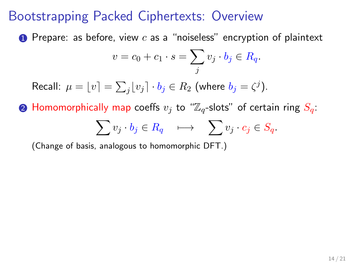**1** Prepare: as before, view  $c$  as a "noiseless" encryption of plaintext

$$
v = c_0 + c_1 \cdot s = \sum_j v_j \cdot b_j \in R_q.
$$

Recall:  $\mu = \lfloor v \rfloor = \sum_j \lfloor v_j \rceil \cdot b_j \in R_2$  (where  $b_j = \zeta^j$ ).

**2** Homomorphically map coeffs  $v_i$  to " $\mathbb{Z}_q$ -slots" of certain ring  $S_q$ .

$$
\sum v_j \cdot b_j \in R_q \quad \longmapsto \quad \sum v_j \cdot c_j \in S_q.
$$

(Change of basis, analogous to homomorphic DFT.)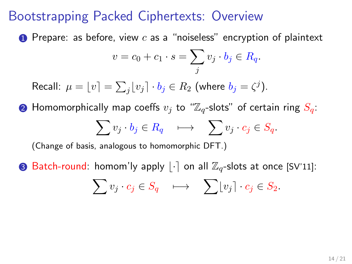**1** Prepare: as before, view  $c$  as a "noiseless" encryption of plaintext

$$
v = c_0 + c_1 \cdot s = \sum_j v_j \cdot b_j \in R_q.
$$

Recall:  $\mu = \lfloor v \rfloor = \sum_j \lfloor v_j \rceil \cdot b_j \in R_2$  (where  $b_j = \zeta^j$ ).

**2** Homomorphically map coeffs  $v_j$  to " $\mathbb{Z}_q$ -slots" of certain ring  $S_q$ :  $\sum v_j \cdot b_j \in R_q \quad \longmapsto \quad \sum v_j \cdot c_j \in S_q.$ 

(Change of basis, analogous to homomorphic DFT.)

**3** Batch-round: homom'ly apply  $|\cdot|$  on all  $\mathbb{Z}_q$ -slots at once [SV'11]:

$$
\sum v_j \cdot c_j \in S_q \quad \longmapsto \quad \sum \lfloor v_j \rfloor \cdot c_j \in S_2.
$$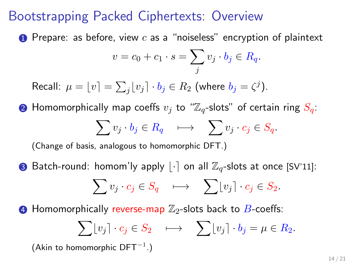**1** Prepare: as before, view  $c$  as a "noiseless" encryption of plaintext

$$
v = c_0 + c_1 \cdot s = \sum_j v_j \cdot b_j \in R_q.
$$

Recall:  $\mu = \lfloor v \rfloor = \sum_j \lfloor v_j \rceil \cdot b_j \in R_2$  (where  $b_j = \zeta^j$ ).

**2** Homomorphically map coeffs  $v_i$  to " $\mathbb{Z}_q$ -slots" of certain ring  $S_q$ :  $\sum v_j \cdot b_j \in R_q \quad \longmapsto \quad \sum v_j \cdot c_j \in S_q.$ 

(Change of basis, analogous to homomorphic DFT.)

**3** Batch-round: homom'ly apply  $|\cdot|$  on all  $\mathbb{Z}_q$ -slots at once [SV'11]:

$$
\sum v_j \cdot c_j \in S_q \quad \longmapsto \quad \sum \lfloor v_j \rfloor \cdot c_j \in S_2.
$$

**4** Homomorphically reverse-map  $\mathbb{Z}_2$ -slots back to  $B$ -coeffs:

$$
\sum \lfloor v_j \rceil \cdot c_j \in S_2 \quad \longmapsto \quad \sum \lfloor v_j \rceil \cdot b_j = \mu \in R_2.
$$

(Akin to homomorphic  $DFT^{-1}$ .)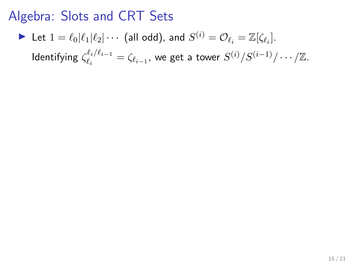\n- Let 
$$
1 = \ell_0 | \ell_1 | \ell_2 | \cdots
$$
 (all odd), and  $S^{(i)} = \mathcal{O}_{\ell_i} = \mathbb{Z}[\zeta_{\ell_i}].$    
 Identifying  $\zeta_{\ell_i}^{\ell_i / \ell_{i-1}} = \zeta_{\ell_{i-1}}$ , we get a tower  $S^{(i)}/S^{(i-1)}/\cdots/\mathbb{Z}$ .
\n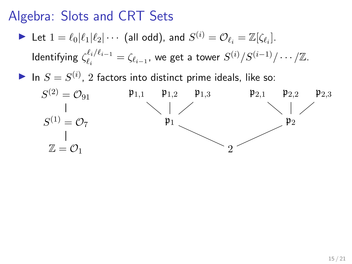- $\blacktriangleright$  Let  $1 = \ell_0 | \ell_1 | \ell_2 | \cdots$  (all odd), and  $S^{(i)} = \mathcal{O}_{\ell_i} = \mathbb{Z}[\zeta_{\ell_i}].$ Identifying  $\zeta_{\ell_i}^{\ell_i/\ell_{i-1}}$  $\frac{\ell_i}{\ell_i}$   $\ell_i = \zeta_{\ell_{i-1}}$ , we get a tower  $S^{(i)}/S^{(i-1)}/\cdots/\mathbb{Z}$ .
- In  $S = S^{(i)}$ , 2 factors into distinct prime ideals, like so:

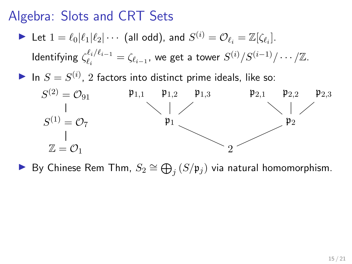- $\blacktriangleright$  Let  $1 = \ell_0 | \ell_1 | \ell_2 | \cdots$  (all odd), and  $S^{(i)} = \mathcal{O}_{\ell_i} = \mathbb{Z}[\zeta_{\ell_i}].$ Identifying  $\zeta_{\ell_i}^{\ell_i/\ell_{i-1}}$  $\frac{\ell_i}{\ell_i}$   $\ell_i = \zeta_{\ell_{i-1}}$ , we get a tower  $S^{(i)}/S^{(i-1)}/\cdots/\mathbb{Z}$ .
- In  $S = S^{(i)}$ , 2 factors into distinct prime ideals, like so:



► By Chinese Rem Thm,  $S_2 \cong \bigoplus_j (S/\mathfrak{p}_j)$  via natural homomorphism.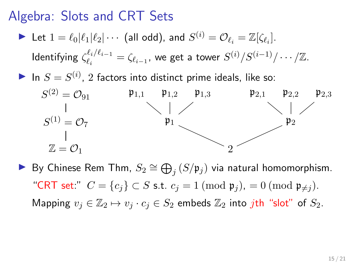- $\blacktriangleright$  Let  $1 = \ell_0 | \ell_1 | \ell_2 | \cdots$  (all odd), and  $S^{(i)} = \mathcal{O}_{\ell_i} = \mathbb{Z}[\zeta_{\ell_i}].$ Identifying  $\zeta_{\ell_i}^{\ell_i/\ell_{i-1}}$  $\frac{\ell_i}{\ell_i}$   $\ell_i = \zeta_{\ell_{i-1}}$ , we get a tower  $S^{(i)}/S^{(i-1)}/\cdots/\mathbb{Z}$ .
- In  $S = S^{(i)}$ , 2 factors into distinct prime ideals, like so:



► By Chinese Rem Thm,  $S_2 \cong \bigoplus_j (S/\mathfrak{p}_j)$  via natural homomorphism. "CRT set:"  $C = \{c_i\} \subset S$  s.t.  $c_j = 1 \pmod{\mathfrak{p}_j} = 0 \pmod{\mathfrak{p}_{\neq j}}$ . Mapping  $v_i \in \mathbb{Z}_2 \mapsto v_i \cdot c_i \in S_2$  embeds  $\mathbb{Z}_2$  into jth "slot" of  $S_2$ .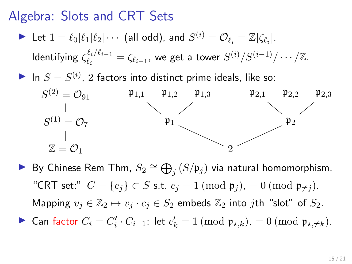- $\blacktriangleright$  Let  $1 = \ell_0 | \ell_1 | \ell_2 | \cdots$  (all odd), and  $S^{(i)} = \mathcal{O}_{\ell_i} = \mathbb{Z}[\zeta_{\ell_i}].$ Identifying  $\zeta_{\ell_i}^{\ell_i/\ell_{i-1}}$  $\frac{\ell_i}{\ell_i}$   $\ell_i = \zeta_{\ell_{i-1}}$ , we get a tower  $S^{(i)}/S^{(i-1)}/\cdots/\mathbb{Z}$ .
- In  $S = S^{(i)}$ , 2 factors into distinct prime ideals, like so:



► By Chinese Rem Thm,  $S_2 \cong \bigoplus_j (S/\mathfrak{p}_j)$  via natural homomorphism. "CRT set:"  $C = \{c_i\} \subset S$  s.t.  $c_j = 1 \pmod{\mathfrak{p}_j} = 0 \pmod{\mathfrak{p}_{\neq j}}$ . Mapping  $v_j \in \mathbb{Z}_2 \mapsto v_j \cdot c_j \in S_2$  embeds  $\mathbb{Z}_2$  into jth "slot" of  $S_2$ . ► Can factor  $C_i = C'_i \cdot C_{i-1}$ : let  $c'_k = 1 \pmod{\mathfrak{p}_{\star,k}}$ ,  $= 0 \pmod{\mathfrak{p}_{\star,\neq k}}$ .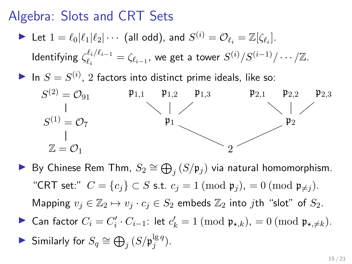- $\blacktriangleright$  Let  $1 = \ell_0 | \ell_1 | \ell_2 | \cdots$  (all odd), and  $S^{(i)} = \mathcal{O}_{\ell_i} = \mathbb{Z}[\zeta_{\ell_i}].$ Identifying  $\zeta_{\ell_i}^{\ell_i/\ell_{i-1}}$  $\frac{\ell_i}{\ell_i}$   $\ell_i = \zeta_{\ell_{i-1}}$ , we get a tower  $S^{(i)}/S^{(i-1)}/\cdots/\mathbb{Z}$ .
- In  $S = S^{(i)}$ , 2 factors into distinct prime ideals, like so:



- ► By Chinese Rem Thm,  $S_2 \cong \bigoplus_j (S/\mathfrak{p}_j)$  via natural homomorphism. "CRT set:"  $C = \{c_i\} \subset S$  s.t.  $c_j = 1 \pmod{\mathfrak{p}_j} = 0 \pmod{\mathfrak{p}_{\neq j}}$ . Mapping  $v_j \in \mathbb{Z}_2 \mapsto v_j \cdot c_j \in S_2$  embeds  $\mathbb{Z}_2$  into jth "slot" of  $S_2$ .
- ► Can factor  $C_i = C'_i \cdot C_{i-1}$ : let  $c'_k = 1 \pmod{\mathfrak{p}_{\star,k}}$ ,  $= 0 \pmod{\mathfrak{p}_{\star,\neq k}}$ .

$$
\blacktriangleright \text{ Similarly for } S_q \cong \bigoplus_j \left( S / \mathfrak{p}_j^{\lg q} \right).
$$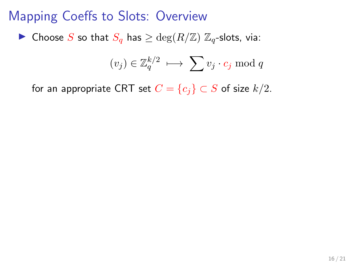## Mapping Coeffs to Slots: Overview

▶ Choose S so that  $S_q$  has  $\geq \deg(R/\mathbb{Z})$   $\mathbb{Z}_q$ -slots, via:

$$
(v_j) \in \mathbb{Z}_q^{k/2} \ \longmapsto \ \sum v_j \cdot c_j \bmod q
$$

for an appropriate CRT set  $C = \{c_j\} \subset S$  of size  $k/2$ .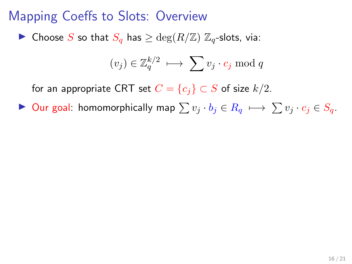# Mapping Coeffs to Slots: Overview

▶ Choose S so that  $S_q$  has  $\geq \deg(R/\mathbb{Z})$   $\mathbb{Z}_q$ -slots, via:

$$
(v_j) \in \mathbb{Z}_q^{k/2} \; \longmapsto \; \sum v_j \cdot c_j \bmod q
$$

for an appropriate CRT set  $C = \{c_j\} \subset S$  of size  $k/2$ .

 $\triangleright$  Our goal: homomorphically map  $\sum v_i \cdot b_i \in R_q \mapsto \sum v_i \cdot c_i \in S_q$ .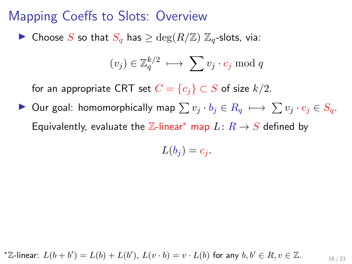▶ Choose S so that  $S_q$  has  $\geq \deg(R/\mathbb{Z})$   $\mathbb{Z}_q$ -slots, via:

$$
(v_j) \in \mathbb{Z}_q^{k/2} \, \longmapsto \, \sum v_j \cdot c_j \bmod q
$$

for an appropriate CRT set  $C = \{c_i\} \subset S$  of size  $k/2$ .

 $\triangleright$  Our goal: homomorphically map  $\sum v_i \cdot b_i \in R_q \mapsto \sum v_i \cdot c_i \in S_q$ . Equivalently, evaluate the  $\mathbb{Z}$ -linear<sup>\*</sup> map  $L: R \rightarrow S$  defined by

$$
L(b_j)=c_j.
$$

$$
^*\mathbb{Z}\text{-linear: }L(b+b')=L(b)+L(b'),\ L(v\cdot b)=v\cdot L(b) \text{ for any } b,b'\in R, v\in \mathbb{Z}.\qquad \qquad \underset{16/21}{\underbrace{\phantom{A}}}
$$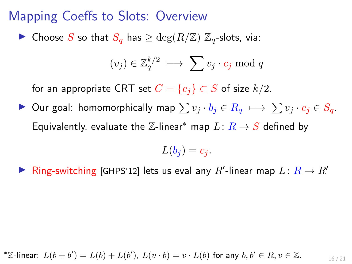▶ Choose S so that  $S_q$  has  $\geq \deg(R/\mathbb{Z})$   $\mathbb{Z}_q$ -slots, via:

$$
(v_j) \in \mathbb{Z}_q^{k/2} \, \longmapsto \, \sum v_j \cdot c_j \bmod q
$$

for an appropriate CRT set  $C = \{c_i\} \subset S$  of size  $k/2$ .

 $\triangleright$  Our goal: homomorphically map  $\sum v_i \cdot b_i \in R_q \mapsto \sum v_i \cdot c_i \in S_q$ . Equivalently, evaluate the  $\mathbb{Z}$ -linear<sup>\*</sup> map  $L: R \rightarrow S$  defined by

$$
L(b_j) = c_j.
$$

▶ Ring-switching [GHPS'12] lets us eval any R'-linear map  $L: R \rightarrow R'$ 

$$
^*\mathbb{Z}\text{-linear: }L(b+b')=L(b)+L(b'),~L(v\cdot b)=v\cdot L(b)~\text{for any}~b,b'\in R, v\in \mathbb{Z}.
$$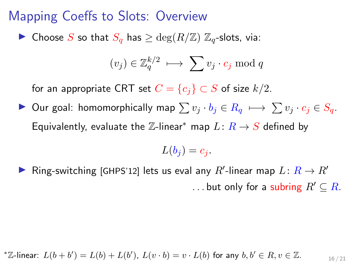▶ Choose S so that  $S_q$  has  $\geq \deg(R/\mathbb{Z})$   $\mathbb{Z}_q$ -slots, via:

$$
(v_j) \in \mathbb{Z}_q^{k/2} \, \longmapsto \, \sum v_j \cdot c_j \bmod q
$$

for an appropriate CRT set  $C = \{c_i\} \subset S$  of size  $k/2$ .

 $\triangleright$  Our goal: homomorphically map  $\sum v_i \cdot b_i \in R_q \mapsto \sum v_i \cdot c_i \in S_q$ . Equivalently, evaluate the  $\mathbb{Z}$ -linear<sup>\*</sup> map  $L: R \rightarrow S$  defined by

$$
L(b_j) = c_j.
$$

▶ Ring-switching [GHPS'12] lets us eval any  $R'$ -linear map  $L: R \rightarrow R'$ ... but only for a subring  $R' \subseteq R$ .

$$
^*\mathbb{Z}\text{-linear: }L(b+b')=L(b)+L(b'),~L(v\cdot b)=v\cdot L(b)~\text{for any}~b,b'\in R, v\in \mathbb{Z}.
$$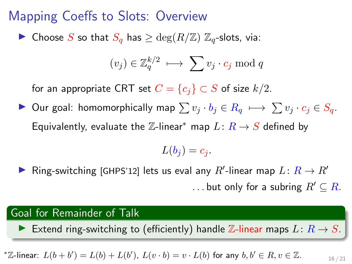▶ Choose S so that  $S_q$  has  $\geq \deg(R/\mathbb{Z})$   $\mathbb{Z}_q$ -slots, via:

$$
(v_j) \in \mathbb{Z}_q^{k/2} \, \longmapsto \, \sum v_j \cdot c_j \bmod q
$$

for an appropriate CRT set  $C = \{c_i\} \subset S$  of size  $k/2$ .

 $\triangleright$  Our goal: homomorphically map  $\sum v_i \cdot b_i \in R_q \mapsto \sum v_i \cdot c_i \in S_q$ . Equivalently, evaluate the  $\mathbb{Z}$ -linear<sup>\*</sup> map  $L: R \rightarrow S$  defined by

$$
L(b_j) = c_j.
$$

▶ Ring-switching [GHPS'12] lets us eval any  $R'$ -linear map  $L: R \rightarrow R'$ ... but only for a subring  $R' \subseteq R$ .

#### Goal for Remainder of Talk

Extend ring-switching to (efficiently) handle Z-linear maps  $L: R \rightarrow S$ .

21

\*
$$
\mathbb{Z}\text{-linear: }L(b+b')=L(b)+L(b'), L(v\cdot b)=v\cdot L(b) \text{ for any } b,b'\in R, v\in \mathbb{Z}.
$$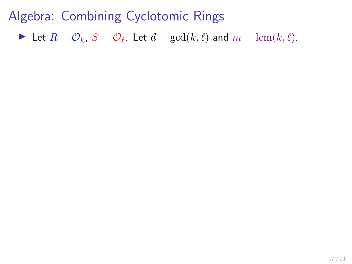Let  $R = \mathcal{O}_k$ ,  $S = \mathcal{O}_\ell$ . Let  $d = \gcd(k, \ell)$  and  $m = \text{lcm}(k, \ell)$ .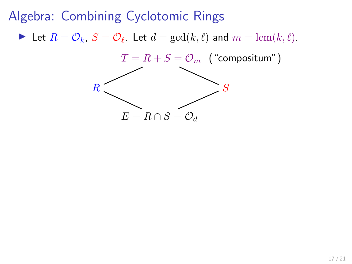Let  $R = \mathcal{O}_k$ ,  $S = \mathcal{O}_\ell$ . Let  $d = \gcd(k, \ell)$  and  $m = \text{lcm}(k, \ell)$ .

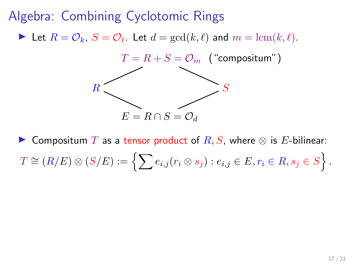Let  $R = \mathcal{O}_k$ ,  $S = \mathcal{O}_\ell$ . Let  $d = \gcd(k, \ell)$  and  $m = \text{lcm}(k, \ell)$ .



▶ Compositum T as a tensor product of  $R, S$ , where  $\otimes$  is E-bilinear:  $T \cong (R/E) \otimes (S/E) := \left\{ \sum e_{i,j} (r_i \otimes s_j) : e_{i,j} \in E, r_i \in R, s_j \in S \right\}.$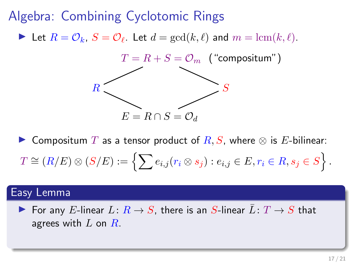Let  $R = \mathcal{O}_k$ ,  $S = \mathcal{O}_\ell$ . Let  $d = \gcd(k, \ell)$  and  $m = \text{lcm}(k, \ell)$ .



▶ Compositum T as a tensor product of  $R, S$ , where  $\otimes$  is E-bilinear:  $T \cong (R/E) \otimes (S/E) := \left\{ \sum e_{i,j} (r_i \otimes s_j) : e_{i,j} \in E, r_i \in R, s_j \in S \right\}.$ 

#### Easy Lemma

▶ For any E-linear  $L: R \rightarrow S$ , there is an S-linear  $L: T \rightarrow S$  that agrees with  $L$  on  $R$ .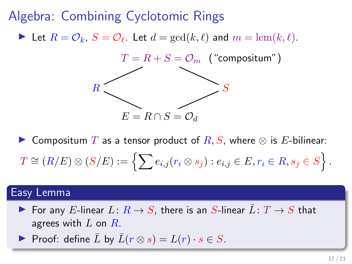Let  $R = \mathcal{O}_k$ ,  $S = \mathcal{O}_\ell$ . Let  $d = \gcd(k, \ell)$  and  $m = \text{lcm}(k, \ell)$ .



▶ Compositum T as a tensor product of  $R, S$ , where  $\otimes$  is E-bilinear:  $T \cong (R/E) \otimes (S/E) := \left\{ \sum e_{i,j} (r_i \otimes s_j) : e_{i,j} \in E, r_i \in R, s_j \in S \right\}.$ 

#### Easy Lemma

- ▶ For any E-linear  $L: R \rightarrow S$ , there is an S-linear  $L: T \rightarrow S$  that agrees with  $L$  on  $R$ .
- ▶ Proof: define L by  $L(r \otimes s) = L(r) \cdot s \in S$ .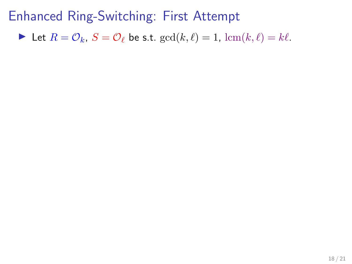In Let  $R = \mathcal{O}_k$ ,  $S = \mathcal{O}_\ell$  be s.t.  $gcd(k, \ell) = 1$ ,  $lcm(k, \ell) = k\ell$ .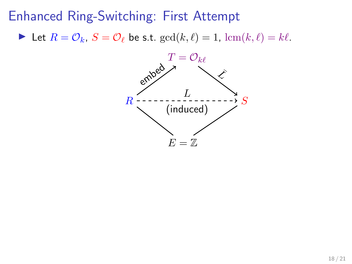In Let  $R = \mathcal{O}_k$ ,  $S = \mathcal{O}_\ell$  be s.t.  $gcd(k, \ell) = 1$ ,  $lcm(k, \ell) = k\ell$ .

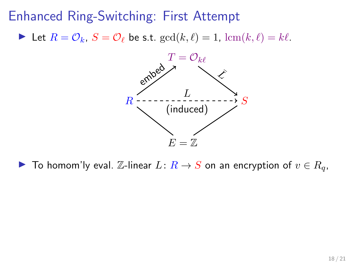In Let  $R = \mathcal{O}_k$ ,  $S = \mathcal{O}_\ell$  be s.t.  $gcd(k, \ell) = 1$ ,  $lcm(k, \ell) = k\ell$ .



▶ To homom'ly eval.  $\mathbb{Z}$ -linear  $L: R \to S$  on an encryption of  $v \in R_q$ ,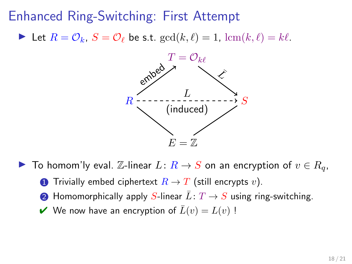In Let  $R = \mathcal{O}_k$ ,  $S = \mathcal{O}_\ell$  be s.t.  $gcd(k, \ell) = 1$ ,  $lcm(k, \ell) = k\ell$ .



- ▶ To homom'ly eval.  $\mathbb{Z}$ -linear  $L: R \to S$  on an encryption of  $v \in R_q$ ,
	- **1** Trivially embed ciphertext  $R \to T$  (still encrypts v).
	- **2** Homomorphically apply S-linear  $\overline{L}: T \to S$  using ring-switching.
	- $\vee$  We now have an encryption of  $\overline{L}(v) = L(v)$ !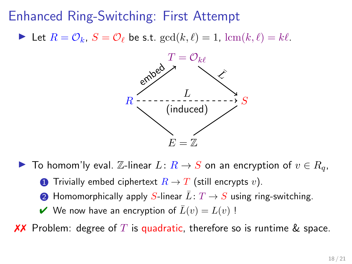In Let  $R = \mathcal{O}_k$ ,  $S = \mathcal{O}_\ell$  be s.t.  $gcd(k, \ell) = 1$ ,  $lcm(k, \ell) = k\ell$ .



- ▶ To homom'ly eval.  $\mathbb{Z}$ -linear  $L: R \to S$  on an encryption of  $v \in R_q$ ,
	- **1** Trivially embed ciphertext  $R \to T$  (still encrypts v).
	- **2** Homomorphically apply S-linear  $\overline{L}: T \to S$  using ring-switching.
	- $\vee$  We now have an encryption of  $\overline{L}(v) = L(v)$ !

**XX** Problem: degree of T is quadratic, therefore so is runtime & space.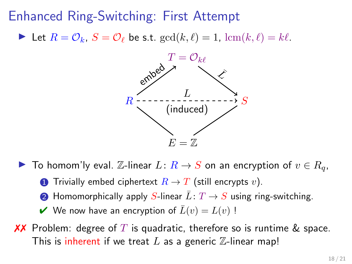In Let  $R = \mathcal{O}_k$ ,  $S = \mathcal{O}_\ell$  be s.t.  $gcd(k, \ell) = 1$ ,  $lcm(k, \ell) = k\ell$ .



- ▶ To homom'ly eval.  $\mathbb{Z}$ -linear  $L: R \to S$  on an encryption of  $v \in R_q$ ,
	- **1** Trivially embed ciphertext  $R \to T$  (still encrypts v).
	- **2** Homomorphically apply S-linear  $\overline{L}: T \to S$  using ring-switching.
	- $\vee$  We now have an encryption of  $\overline{L}(v) = L(v)$ !
- **XX** Problem: degree of T is quadratic, therefore so is runtime & space. This is inherent if we treat  $L$  as a generic  $\mathbb Z$ -linear map!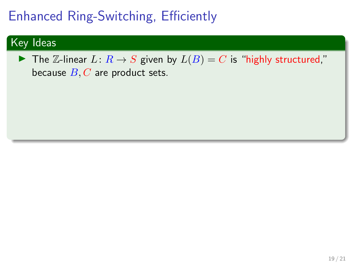# Enhanced Ring-Switching, Efficiently

### Key Ideas

▶ The Z-linear  $L: R \rightarrow S$  given by  $L(B) = C$  is "highly structured," because  $B, C$  are product sets.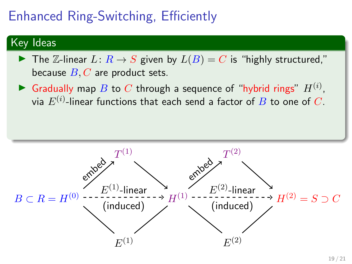# Enhanced Ring-Switching, Efficiently

### Key Ideas

- The Z-linear  $L: R \to S$  given by  $L(B) = C$  is "highly structured," because  $B, C$  are product sets.
- Gradually map B to C through a sequence of "hybrid rings"  $H^{(i)}$ , via  $E^{(i)}.$ linear functions that each send a factor of  $B$  to one of  $C.$

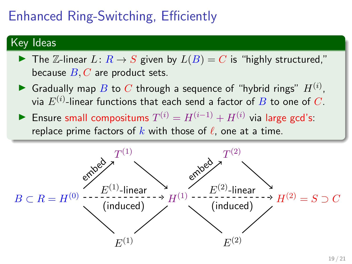# Enhanced Ring-Switching, Efficiently

### Key Ideas

- The Z-linear  $L: R \to S$  given by  $L(B) = C$  is "highly structured," because  $B, C$  are product sets.
- Gradually map B to C through a sequence of "hybrid rings"  $H^{(i)}$ , via  $E^{(i)}.$ linear functions that each send a factor of  $B$  to one of  $C.$
- ► Ensure small compositums  $T^{(i)} = H^{(i-1)} + H^{(i)}$  via large gcd's: replace prime factors of k with those of  $\ell$ , one at a time.

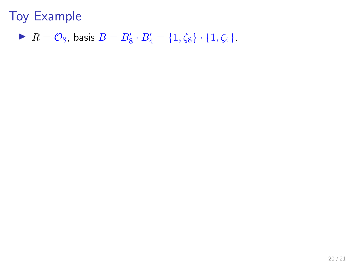$R = \mathcal{O}_8$ , basis  $B = B'_8 \cdot B'_4 = \{1, \zeta_8\} \cdot \{1, \zeta_4\}.$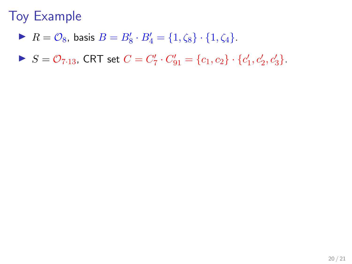- $R = \mathcal{O}_8$ , basis  $B = B'_8 \cdot B'_4 = \{1, \zeta_8\} \cdot \{1, \zeta_4\}.$
- $S = \mathcal{O}_{7 \cdot 13}$ , CRT set  $C = C'_7 \cdot C'_{91} = \{c_1, c_2\} \cdot \{c'_1, c'_2, c'_3\}.$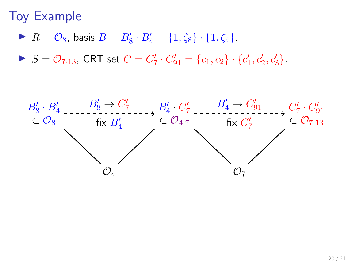- $R = \mathcal{O}_8$ , basis  $B = B'_8 \cdot B'_4 = \{1, \zeta_8\} \cdot \{1, \zeta_4\}.$
- $S = \mathcal{O}_{7 \cdot 13}$ , CRT set  $C = C'_7 \cdot C'_{91} = \{c_1, c_2\} \cdot \{c'_1, c'_2, c'_3\}.$

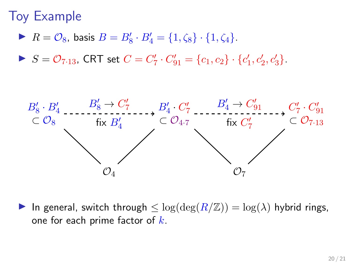- $R = \mathcal{O}_8$ , basis  $B = B'_8 \cdot B'_4 = \{1, \zeta_8\} \cdot \{1, \zeta_4\}.$
- $S = \mathcal{O}_{7 \cdot 13}$ , CRT set  $C = C'_7 \cdot C'_{91} = \{c_1, c_2\} \cdot \{c'_1, c'_2, c'_3\}.$



In general, switch through  $\leq \log(\deg(R/\mathbb{Z})) = \log(\lambda)$  hybrid rings, one for each prime factor of  $k$ .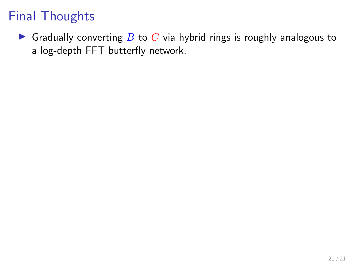Gradually converting  $B$  to  $C$  via hybrid rings is roughly analogous to a log-depth FFT butterfly network.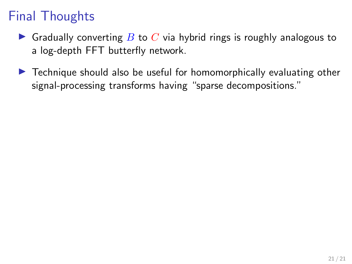- **If** Gradually converting B to C via hybrid rings is roughly analogous to a log-depth FFT butterfly network.
- $\triangleright$  Technique should also be useful for homomorphically evaluating other signal-processing transforms having "sparse decompositions."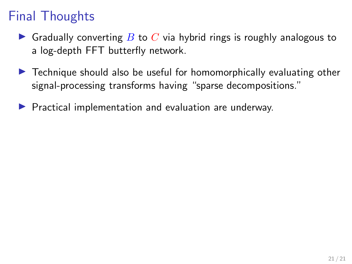- **In** Gradually converting B to C via hybrid rings is roughly analogous to a log-depth FFT butterfly network.
- $\triangleright$  Technique should also be useful for homomorphically evaluating other signal-processing transforms having "sparse decompositions."
- $\blacktriangleright$  Practical implementation and evaluation are underway.